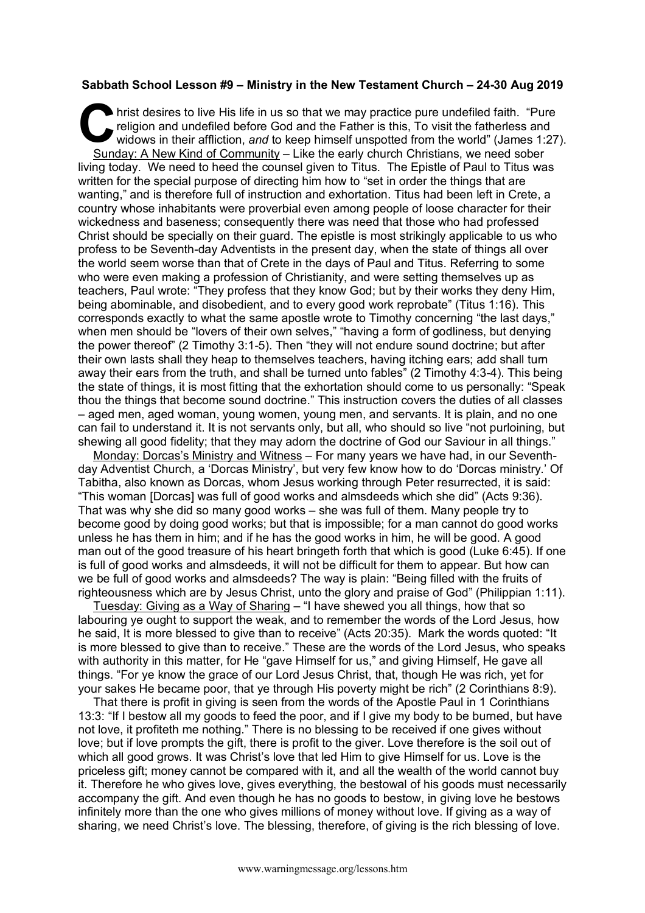## **Sabbath School Lesson #9 – Ministry in the New Testament Church – 24-30 Aug 2019**

hrist desires to live His life in us so that we may practice pure undefiled faith. "Pure religion and undefiled before God and the Father is this, To visit the fatherless and widows in their affliction, and to keep himself religion and undefiled before God and the Father is this, To visit the fatherless and widows in their affliction, *and* to keep himself unspotted from the world" (James 1:27). Sunday: A New Kind of Community – Like the early church Christians, we need sober living today. We need to heed the counsel given to Titus. The Epistle of Paul to Titus was written for the special purpose of directing him how to "set in order the things that are wanting," and is therefore full of instruction and exhortation. Titus had been left in Crete, a country whose inhabitants were proverbial even among people of loose character for their wickedness and baseness; consequently there was need that those who had professed Christ should be specially on their guard. The epistle is most strikingly applicable to us who profess to be Seventh-day Adventists in the present day, when the state of things all over the world seem worse than that of Crete in the days of Paul and Titus. Referring to some who were even making a profession of Christianity, and were setting themselves up as teachers, Paul wrote: "They profess that they know God; but by their works they deny Him, being abominable, and disobedient, and to every good work reprobate" (Titus 1:16). This corresponds exactly to what the same apostle wrote to Timothy concerning "the last days," when men should be "lovers of their own selves," "having a form of godliness, but denying the power thereof" (2 Timothy 3:1-5). Then "they will not endure sound doctrine; but after their own lasts shall they heap to themselves teachers, having itching ears; add shall turn away their ears from the truth, and shall be turned unto fables" (2 Timothy 4:3-4). This being the state of things, it is most fitting that the exhortation should come to us personally: "Speak thou the things that become sound doctrine." This instruction covers the duties of all classes – aged men, aged woman, young women, young men, and servants. It is plain, and no one can fail to understand it. It is not servants only, but all, who should so live "not purloining, but shewing all good fidelity; that they may adorn the doctrine of God our Saviour in all things."

Monday: Dorcas's Ministry and Witness – For many years we have had, in our Seventhday Adventist Church, a 'Dorcas Ministry', but very few know how to do 'Dorcas ministry.' Of Tabitha, also known as Dorcas, whom Jesus working through Peter resurrected, it is said: "This woman [Dorcas] was full of good works and almsdeeds which she did" (Acts 9:36). That was why she did so many good works – she was full of them. Many people try to become good by doing good works; but that is impossible; for a man cannot do good works unless he has them in him; and if he has the good works in him, he will be good. A good man out of the good treasure of his heart bringeth forth that which is good (Luke 6:45). If one is full of good works and almsdeeds, it will not be difficult for them to appear. But how can we be full of good works and almsdeeds? The way is plain: "Being filled with the fruits of righteousness which are by Jesus Christ, unto the glory and praise of God" (Philippian 1:11).

Tuesday: Giving as a Way of Sharing – "I have shewed you all things, how that so labouring ye ought to support the weak, and to remember the words of the Lord Jesus, how he said, It is more blessed to give than to receive" (Acts 20:35). Mark the words quoted: "It is more blessed to give than to receive." These are the words of the Lord Jesus, who speaks with authority in this matter, for He "gave Himself for us," and giving Himself, He gave all things. "For ye know the grace of our Lord Jesus Christ, that, though He was rich, yet for your sakes He became poor, that ye through His poverty might be rich" (2 Corinthians 8:9).

That there is profit in giving is seen from the words of the Apostle Paul in 1 Corinthians 13:3: "If I bestow all my goods to feed the poor, and if I give my body to be burned, but have not love, it profiteth me nothing." There is no blessing to be received if one gives without love; but if love prompts the gift, there is profit to the giver. Love therefore is the soil out of which all good grows. It was Christ's love that led Him to give Himself for us. Love is the priceless gift; money cannot be compared with it, and all the wealth of the world cannot buy it. Therefore he who gives love, gives everything, the bestowal of his goods must necessarily accompany the gift. And even though he has no goods to bestow, in giving love he bestows infinitely more than the one who gives millions of money without love. If giving as a way of sharing, we need Christ's love. The blessing, therefore, of giving is the rich blessing of love.